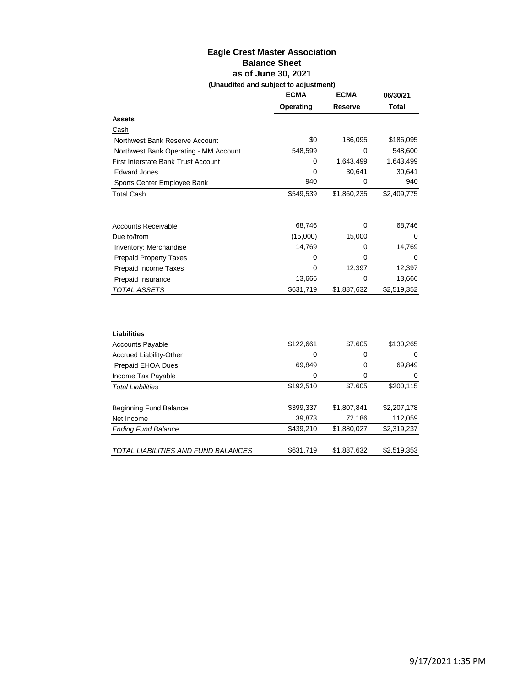# **Eagle Crest Master Association Balance Sheet as of June 30, 2021 (Unaudited and subject to adjustment)**

|                                            | <b>ECMA</b> | <b>ECMA</b> | 06/30/21     |
|--------------------------------------------|-------------|-------------|--------------|
|                                            | Operating   | Reserve     | <b>Total</b> |
| <b>Assets</b>                              |             |             |              |
| Cash                                       |             |             |              |
| Northwest Bank Reserve Account             | \$0         | 186,095     | \$186,095    |
| Northwest Bank Operating - MM Account      | 548,599     | 0           | 548,600      |
| <b>First Interstate Bank Trust Account</b> | 0           | 1,643,499   | 1,643,499    |
| <b>Edward Jones</b>                        | 0           | 30,641      | 30,641       |
| Sports Center Employee Bank                | 940         | 0           | 940          |
| <b>Total Cash</b>                          | \$549,539   | \$1,860,235 | \$2,409,775  |
| <b>Accounts Receivable</b>                 | 68,746      | 0           | 68,746       |
| Due to/from                                | (15,000)    | 15,000      | 0            |
| Inventory: Merchandise                     | 14,769      | 0           | 14,769       |
| <b>Prepaid Property Taxes</b>              | 0           | 0           | 0            |
| Prepaid Income Taxes                       | 0           | 12,397      | 12,397       |
| Prepaid Insurance                          | 13,666      | 0           | 13,666       |
| TOTAL ASSETS                               | \$631,719   | \$1,887,632 | \$2,519,352  |
|                                            |             |             |              |
| Liabilities                                |             |             |              |
| <b>Accounts Payable</b>                    | \$122,661   | \$7,605     | \$130,265    |
| Accrued Liability-Other                    | 0           | 0           | 0            |
| Prepaid EHOA Dues                          | 69,849      | 0           | 69,849       |
| Income Tax Payable                         | 0           | 0           | 0            |
| <b>Total Liabilities</b>                   | \$192,510   | \$7,605     | \$200,115    |
|                                            |             |             |              |
| <b>Beginning Fund Balance</b>              | \$399,337   | \$1,807,841 | \$2,207,178  |
| Net Income                                 | 39,873      | 72,186      | 112,059      |
| <b>Ending Fund Balance</b>                 | \$439,210   | \$1,880,027 | \$2,319,237  |
| TOTAL LIABILITIES AND FUND BALANCES        | \$631,719   | \$1,887,632 | \$2,519,353  |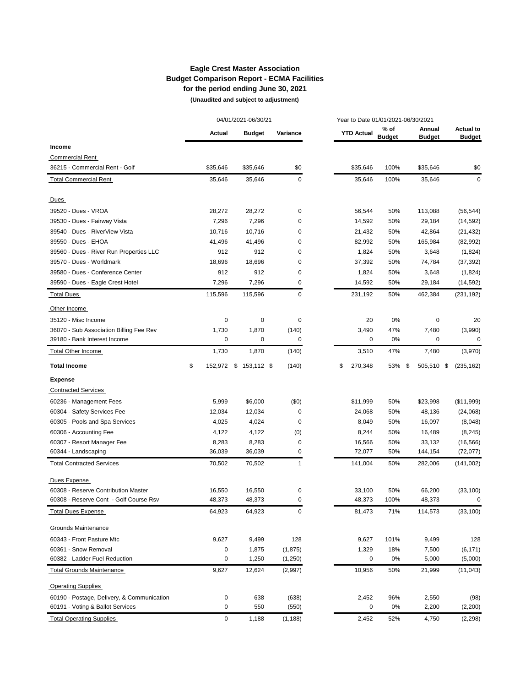# **Eagle Crest Master Association Budget Comparison Report - ECMA Facilities for the period ending June 30, 2021**

 **(Unaudited and subject to adjustment)** 

|                                            |               | 04/01/2021-06/30/21   |              |                   | Year to Date 01/01/2021-06/30/2021 |                         |                                   |
|--------------------------------------------|---------------|-----------------------|--------------|-------------------|------------------------------------|-------------------------|-----------------------------------|
|                                            | <b>Actual</b> | <b>Budget</b>         | Variance     | <b>YTD Actual</b> | $%$ of<br><b>Budget</b>            | Annual<br><b>Budget</b> | <b>Actual to</b><br><b>Budget</b> |
| Income                                     |               |                       |              |                   |                                    |                         |                                   |
| <b>Commercial Rent</b>                     |               |                       |              |                   |                                    |                         |                                   |
| 36215 - Commercial Rent - Golf             | \$35,646      | \$35,646              | \$0          | \$35,646          | 100%                               | \$35,646                | \$0                               |
| <b>Total Commercial Rent</b>               | 35,646        | 35,646                | 0            | 35,646            | 100%                               | 35,646                  | 0                                 |
| Dues                                       |               |                       |              |                   |                                    |                         |                                   |
| 39520 - Dues - VROA                        | 28,272        | 28,272                | 0            | 56,544            | 50%                                | 113,088                 | (56, 544)                         |
| 39530 - Dues - Fairway Vista               | 7,296         | 7,296                 | 0            | 14,592            | 50%                                | 29,184                  | (14, 592)                         |
| 39540 - Dues - RiverView Vista             | 10,716        | 10,716                | 0            | 21,432            | 50%                                | 42,864                  | (21, 432)                         |
| 39550 - Dues - EHOA                        | 41,496        | 41,496                | 0            | 82,992            | 50%                                | 165,984                 | (82, 992)                         |
| 39560 - Dues - River Run Properties LLC    | 912           | 912                   | 0            | 1,824             | 50%                                | 3,648                   | (1,824)                           |
| 39570 - Dues - Worldmark                   | 18,696        | 18,696                | 0            | 37,392            | 50%                                | 74,784                  | (37, 392)                         |
| 39580 - Dues - Conference Center           | 912           | 912                   | 0            | 1,824             | 50%                                | 3,648                   | (1,824)                           |
| 39590 - Dues - Eagle Crest Hotel           | 7,296         | 7,296                 | 0            | 14,592            | 50%                                | 29,184                  | (14, 592)                         |
| <b>Total Dues</b>                          | 115,596       | 115,596               | 0            | 231,192           | 50%                                | 462,384                 | (231, 192)                        |
| Other Income                               |               |                       |              |                   |                                    |                         |                                   |
| 35120 - Misc Income                        | 0             | 0                     | 0            | 20                | 0%                                 | 0                       | 20                                |
| 36070 - Sub Association Billing Fee Rev    | 1,730         | 1,870                 | (140)        | 3,490             | 47%                                | 7,480                   | (3,990)                           |
| 39180 - Bank Interest Income               | $\mathbf 0$   | 0                     | 0            | $\mathbf 0$       | 0%                                 | $\mathbf 0$             | 0                                 |
| <b>Total Other Income</b>                  | 1,730         | 1,870                 | (140)        | 3,510             | 47%                                | 7,480                   | (3,970)                           |
| <b>Total Income</b>                        | \$            | 152,972 \$ 153,112 \$ | (140)        | 270,348<br>\$     | 53%                                | \$<br>505,510           | \$<br>(235, 162)                  |
| <b>Expense</b>                             |               |                       |              |                   |                                    |                         |                                   |
| <b>Contracted Services</b>                 |               |                       |              |                   |                                    |                         |                                   |
| 60236 - Management Fees                    | 5,999         | \$6,000               | (\$0)        | \$11,999          | 50%                                | \$23,998                | (\$11,999)                        |
| 60304 - Safety Services Fee                | 12,034        | 12,034                | 0            | 24,068            | 50%                                | 48,136                  | (24,068)                          |
| 60305 - Pools and Spa Services             | 4,025         | 4,024                 | 0            | 8,049             | 50%                                | 16,097                  | (8,048)                           |
| 60306 - Accounting Fee                     | 4,122         | 4,122                 | (0)          | 8,244             | 50%                                | 16,489                  | (8, 245)                          |
| 60307 - Resort Manager Fee                 | 8,283         | 8,283                 | 0            | 16,566            | 50%                                | 33,132                  | (16, 566)                         |
| 60344 - Landscaping                        | 36,039        | 36,039                | 0            | 72,077            | 50%                                | 144,154                 | (72, 077)                         |
| <b>Total Contracted Services</b>           | 70,502        | 70,502                | $\mathbf{1}$ | 141,004           | 50%                                | 282,006                 | (141,002)                         |
| Dues Expense                               |               |                       |              |                   |                                    |                         |                                   |
| 60308 - Reserve Contribution Master        | 16,550        | 16,550                | 0            | 33,100            | 50%                                | 66,200                  | (33, 100)                         |
| 60308 - Reserve Cont - Golf Course Rsv     | 48,373        | 48,373                | 0            | 48,373            | 100%                               | 48,373                  | 0                                 |
| <b>Total Dues Expense</b>                  | 64,923        | 64,923                | 0            | 81,473            | 71%                                | 114,573                 | (33, 100)                         |
| Grounds Maintenance                        |               |                       |              |                   |                                    |                         |                                   |
| 60343 - Front Pasture Mtc                  | 9,627         | 9,499                 | 128          | 9,627             | 101%                               | 9,499                   | 128                               |
| 60361 - Snow Removal                       | 0             | 1,875                 | (1, 875)     | 1,329             | 18%                                | 7,500                   | (6, 171)                          |
| 60382 - Ladder Fuel Reduction              | 0             | 1,250                 | (1,250)      | 0                 | 0%                                 | 5,000                   | (5,000)                           |
| <b>Total Grounds Maintenance</b>           | 9,627         | 12,624                | (2,997)      | 10,956            | 50%                                | 21,999                  | (11, 043)                         |
| <b>Operating Supplies</b>                  |               |                       |              |                   |                                    |                         |                                   |
| 60190 - Postage, Delivery, & Communication | 0             | 638                   | (638)        | 2,452             | 96%                                | 2,550                   | (98)                              |
| 60191 - Voting & Ballot Services           | 0             | 550                   | (550)        | 0                 | 0%                                 | 2,200                   | (2,200)                           |
| <b>Total Operating Supplies</b>            | 0             | 1,188                 | (1, 188)     | 2,452             | 52%                                | 4,750                   | (2, 298)                          |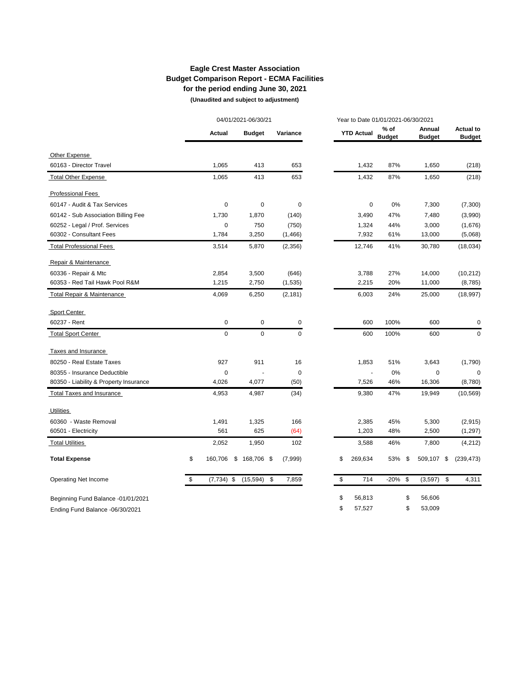# **Eagle Crest Master Association Budget Comparison Report - ECMA Facilities for the period ending June 30, 2021**

 **(Unaudited and subject to adjustment)** 

|                                        |                    | 04/01/2021-06/30/21 |               |          |   |                   |                         | Year to Date 01/01/2021-06/30/2021 |                         |    |                                   |
|----------------------------------------|--------------------|---------------------|---------------|----------|---|-------------------|-------------------------|------------------------------------|-------------------------|----|-----------------------------------|
|                                        | <b>Actual</b>      |                     | <b>Budget</b> | Variance |   | <b>YTD Actual</b> | $%$ of<br><b>Budget</b> |                                    | Annual<br><b>Budget</b> |    | <b>Actual to</b><br><b>Budget</b> |
| Other Expense                          |                    |                     |               |          |   |                   |                         |                                    |                         |    |                                   |
| 60163 - Director Travel                | 1,065              |                     | 413           | 653      |   | 1,432             | 87%                     |                                    | 1,650                   |    | (218)                             |
| <b>Total Other Expense</b>             | 1,065              |                     | 413           | 653      |   | 1,432             | 87%                     |                                    | 1,650                   |    | (218)                             |
| <b>Professional Fees</b>               |                    |                     |               |          |   |                   |                         |                                    |                         |    |                                   |
| 60147 - Audit & Tax Services           | $\mathbf 0$        |                     | $\pmb{0}$     | 0        |   | 0                 | 0%                      |                                    | 7,300                   |    | (7,300)                           |
| 60142 - Sub Association Billing Fee    | 1,730              |                     | 1,870         | (140)    |   | 3,490             | 47%                     |                                    | 7,480                   |    | (3,990)                           |
| 60252 - Legal / Prof. Services         | $\mathbf 0$        |                     | 750           | (750)    |   | 1,324             | 44%                     |                                    | 3,000                   |    | (1,676)                           |
| 60302 - Consultant Fees                | 1,784              |                     | 3,250         | (1,466)  |   | 7,932             | 61%                     |                                    | 13,000                  |    | (5,068)                           |
| <b>Total Professional Fees</b>         | 3,514              |                     | 5,870         | (2,356)  |   | 12,746            | 41%                     |                                    | 30,780                  |    | (18,034)                          |
| Repair & Maintenance                   |                    |                     |               |          |   |                   |                         |                                    |                         |    |                                   |
| 60336 - Repair & Mtc                   | 2,854              |                     | 3,500         | (646)    |   | 3,788             | 27%                     |                                    | 14,000                  |    | (10, 212)                         |
| 60353 - Red Tail Hawk Pool R&M         | 1,215              |                     | 2,750         | (1, 535) |   | 2,215             | 20%                     |                                    | 11,000                  |    | (8,785)                           |
| Total Repair & Maintenance             | 4,069              |                     | 6,250         | (2, 181) |   | 6,003             | 24%                     |                                    | 25,000                  |    | (18, 997)                         |
| Sport Center                           |                    |                     |               |          |   |                   |                         |                                    |                         |    |                                   |
| 60237 - Rent                           | $\mathbf 0$        |                     | $\pmb{0}$     |          | 0 | 600               | 100%                    |                                    | 600                     |    | 0                                 |
| <b>Total Sport Center</b>              | $\mathbf 0$        |                     | $\mathbf 0$   |          | 0 | 600               | 100%                    |                                    | 600                     |    | 0                                 |
| Taxes and Insurance                    |                    |                     |               |          |   |                   |                         |                                    |                         |    |                                   |
| 80250 - Real Estate Taxes              | 927                |                     | 911           | 16       |   | 1,853             | 51%                     |                                    | 3,643                   |    | (1,790)                           |
| 80355 - Insurance Deductible           | $\mathbf 0$        |                     |               | 0        |   |                   | 0%                      |                                    | 0                       |    | $\mathbf 0$                       |
| 80350 - Liability & Property Insurance | 4,026              |                     | 4,077         | (50)     |   | 7,526             | 46%                     |                                    | 16,306                  |    | (8,780)                           |
| <b>Total Taxes and Insurance</b>       | 4,953              |                     | 4,987         | (34)     |   | 9,380             | 47%                     |                                    | 19,949                  |    | (10, 569)                         |
| <b>Utilities</b>                       |                    |                     |               |          |   |                   |                         |                                    |                         |    |                                   |
| 60360 - Waste Removal                  | 1,491              |                     | 1,325         | 166      |   | 2,385             | 45%                     |                                    | 5,300                   |    | (2,915)                           |
| 60501 - Electricity                    | 561                |                     | 625           | (64)     |   | 1,203             | 48%                     |                                    | 2,500                   |    | (1,297)                           |
| <b>Total Utilities</b>                 | 2,052              |                     | 1,950         | 102      |   | 3,588             | 46%                     |                                    | 7,800                   |    | (4,212)                           |
| <b>Total Expense</b>                   | \$<br>160,706      |                     | $$168,706$ \$ | (7,999)  |   | \$<br>269,634     | 53%                     | - \$                               | 509,107                 | \$ | (239, 473)                        |
| Operating Net Income                   | \$<br>$(7,734)$ \$ |                     | $(15,594)$ \$ | 7,859    |   | \$<br>714         | $-20\%$ \$              |                                    | $(3,597)$ \$            |    | 4,311                             |
| Beginning Fund Balance -01/01/2021     |                    |                     |               |          |   | \$<br>56,813      |                         | \$                                 | 56,606                  |    |                                   |
| Ending Fund Balance -06/30/2021        |                    |                     |               |          |   | \$<br>57,527      |                         | \$                                 | 53,009                  |    |                                   |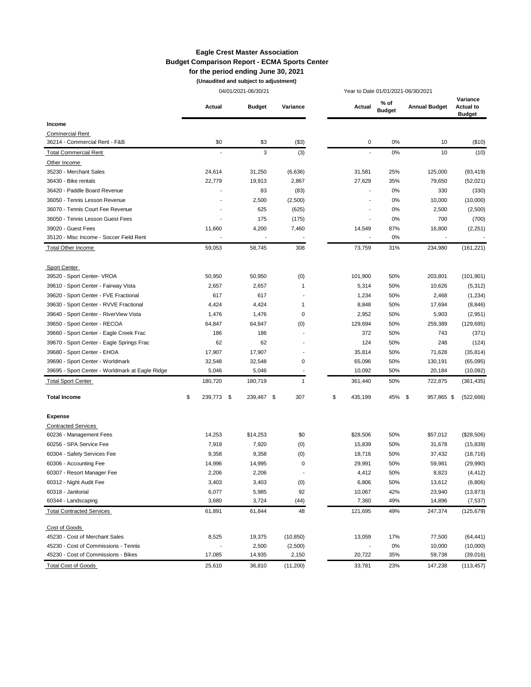#### **Eagle Crest Master Association Budget Comparison Report - ECMA Sports Center for the period ending June 30, 2021**

**(Unaudited and subject to adjustment)**

|                                                 |               |     | 04/01/2021-06/30/21 |           |   |                | Year to Date 01/01/2021-06/30/2021 |                      |                                               |
|-------------------------------------------------|---------------|-----|---------------------|-----------|---|----------------|------------------------------------|----------------------|-----------------------------------------------|
|                                                 | Actual        |     | <b>Budget</b>       | Variance  |   | Actual         | % of<br><b>Budget</b>              | <b>Annual Budget</b> | Variance<br><b>Actual to</b><br><b>Budget</b> |
| Income                                          |               |     |                     |           |   |                |                                    |                      |                                               |
| <b>Commercial Rent</b>                          |               |     |                     |           |   |                |                                    |                      |                                               |
| 36214 - Commercial Rent - F&B                   |               | \$0 | \$3                 | (\$3)     |   | 0              | 0%                                 | 10                   | (\$10)                                        |
| <b>Total Commercial Rent</b>                    |               |     | 3                   | (3)       |   |                | 0%                                 | 10                   | (10)                                          |
| Other Income                                    |               |     |                     |           |   |                |                                    |                      |                                               |
| 35230 - Merchant Sales                          | 24,614        |     | 31,250              | (6,636)   |   | 31,581         | 25%                                | 125,000              | (93, 419)                                     |
| 36430 - Bike rentals                            | 22,779        |     | 19,913              | 2,867     |   | 27,629         | 35%                                | 79,650               | (52,021)                                      |
| 36420 - Paddle Board Revenue                    |               |     | 83                  | (83)      |   |                | 0%                                 | 330                  | (330)                                         |
| 36050 - Tennis Lesson Revenue                   |               |     | 2,500               | (2,500)   |   |                | 0%                                 | 10,000               | (10,000)                                      |
| 36070 - Tennis Court Fee Revenue                |               |     | 625                 | (625)     |   |                | 0%                                 | 2,500                | (2,500)                                       |
| 36050 - Tennis Lesson Guest Fees                |               |     | 175                 | (175)     |   | $\overline{a}$ | 0%                                 | 700                  | (700)                                         |
| 39020 - Guest Fees                              | 11,660        |     | 4,200               | 7,460     |   | 14,549         | 87%                                | 16,800               | (2, 251)                                      |
| 35120 - Misc Income - Soccer Field Rent         |               |     |                     |           |   |                | 0%                                 |                      |                                               |
| Total Other Income                              | 59,053        |     | 58,745              | 308       |   | 73,759         | 31%                                | 234,980              | (161, 221)                                    |
| Sport Center                                    |               |     |                     |           |   |                |                                    |                      |                                               |
| 39520 - Sport Center- VROA                      | 50,950        |     | 50,950              | (0)       |   | 101,900        | 50%                                | 203,801              | (101, 901)                                    |
| 39610 - Sport Center - Fairway Vista            | 2,657         |     | 2,657               |           | 1 | 5,314          | 50%                                | 10,626               | (5,312)                                       |
| 39620 - Sport Center - FVE Fractional           | 617           |     | 617                 |           |   | 1,234          | 50%                                | 2,468                | (1, 234)                                      |
| 39630 - Sport Center - RVVE Fractional          | 4,424         |     | 4,424               |           | 1 | 8,848          | 50%                                | 17,694               | (8, 846)                                      |
| 39640 - Sport Center - RiverView Vista          | 1,476         |     | 1,476               |           | 0 | 2,952          | 50%                                | 5,903                | (2,951)                                       |
| 39650 - Sport Center - RECOA                    | 64,847        |     | 64,847              | (0)       |   | 129,694        | 50%                                | 259,389              | (129, 695)                                    |
| 39660 - Sport Center - Eagle Creek Frac         | 186           |     | 186                 |           |   | 372            | 50%                                | 743                  | (371)                                         |
| 39670 - Sport Center - Eagle Springs Frac       | 62            |     | 62                  |           |   | 124            | 50%                                | 248                  | (124)                                         |
| 39680 - Sport Center - EHOA                     | 17,907        |     | 17,907              |           |   | 35,814         | 50%                                | 71,628               | (35, 814)                                     |
| 39690 - Sport Center - Worldmark                | 32,548        |     | 32,548              |           | 0 | 65,096         | 50%                                | 130,191              | (65,095)                                      |
| 39695 - Sport Center - Worldmark at Eagle Ridge | 5,046         |     | 5,046               |           |   | 10,092         | 50%                                | 20,184               | (10,092)                                      |
| <b>Total Sport Center</b>                       | 180,720       |     | 180,719             |           | 1 | 361,440        | 50%                                | 722,875              | (361, 435)                                    |
| <b>Total Income</b>                             | \$<br>239,773 | \$  | 239,467 \$          | 307       |   | \$<br>435,199  | 45%                                | \$<br>957,865 \$     | (522, 666)                                    |
| <b>Expense</b>                                  |               |     |                     |           |   |                |                                    |                      |                                               |
| <b>Contracted Services</b>                      |               |     |                     |           |   |                |                                    |                      |                                               |
| 60236 - Management Fees                         | 14,253        |     | \$14,253            | \$0       |   | \$28,506       | 50%                                | \$57,012             | (\$28,506)                                    |
| 60256 - SPA Service Fee                         | 7,919         |     | 7,920               | (0)       |   | 15,839         | 50%                                | 31,678               | (15, 839)                                     |
| 60304 - Safety Services Fee                     | 9,358         |     | 9,358               | (0)       |   | 18,716         | 50%                                | 37,432               | (18, 716)                                     |
| 60306 - Accounting Fee                          | 14,996        |     | 14,995              |           | 0 | 29,991         | 50%                                | 59,981               | (29,990)                                      |
| 60307 - Resort Manager Fee                      | 2,206         |     | 2,206               |           |   | 4,412          | 50%                                | 8,823                | (4, 412)                                      |
| 60312 - Night Audit Fee                         | 3,403         |     | 3,403               | (0)       |   | 6,806          | 50%                                | 13,612               | (6,806)                                       |
| 60318 - Janitorial                              | 6,077         |     | 5,985               | 92        |   | 10,067         | 42%                                | 23,940               | (13, 873)                                     |
| 60344 - Landscaping                             | 3,680         |     | 3,724               | (44)      |   | 7,360          | 49%                                | 14,896               | (7, 537)                                      |
| <b>Total Contracted Services</b>                | 61,891        |     | 61,844              | 48        |   | 121,695        | 49%                                | 247,374              | (125, 679)                                    |
| Cost of Goods                                   |               |     |                     |           |   |                |                                    |                      |                                               |
| 45230 - Cost of Merchant Sales                  | 8,525         |     | 19,375              | (10, 850) |   | 13,059         | 17%                                | 77,500               | (64, 441)                                     |
| 45230 - Cost of Commissions - Tennis            |               |     | 2,500               | (2,500)   |   |                | 0%                                 | 10,000               | (10,000)                                      |
| 45230 - Cost of Commissions - Bikes             | 17,085        |     | 14,935              | 2,150     |   | 20,722         | 35%                                | 59,738               | (39,016)                                      |
| <b>Total Cost of Goods</b>                      | 25,610        |     | 36,810              | (11,200)  |   | 33,781         | 23%                                | 147,238              | (113, 457)                                    |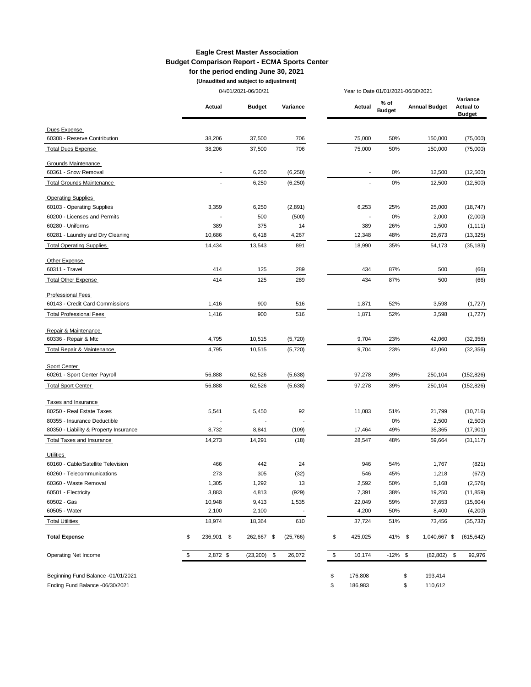#### **Eagle Crest Master Association Budget Comparison Report - ECMA Sports Center for the period ending June 30, 2021**

**(Unaudited and subject to adjustment)**

|                                        |                          | 04/01/2021-06/30/21 |                          |               | Year to Date 01/01/2021-06/30/2021 |                      |                                               |  |
|----------------------------------------|--------------------------|---------------------|--------------------------|---------------|------------------------------------|----------------------|-----------------------------------------------|--|
|                                        | Actual                   | <b>Budget</b>       | Variance                 | Actual        | % of<br><b>Budget</b>              | <b>Annual Budget</b> | Variance<br><b>Actual to</b><br><b>Budget</b> |  |
| Dues Expense                           |                          |                     |                          |               |                                    |                      |                                               |  |
| 60308 - Reserve Contribution           | 38,206                   | 37,500              | 706                      | 75,000        | 50%                                | 150,000              | (75,000)                                      |  |
| <b>Total Dues Expense</b>              | 38,206                   | 37,500              | 706                      | 75,000        | 50%                                | 150,000              | (75,000)                                      |  |
| Grounds Maintenance                    |                          |                     |                          |               |                                    |                      |                                               |  |
| 60361 - Snow Removal                   |                          | 6,250               | (6, 250)                 |               | 0%                                 | 12,500               | (12,500)                                      |  |
| <b>Total Grounds Maintenance</b>       | $\overline{\phantom{a}}$ | 6,250               | (6,250)                  | $\sim$        | 0%                                 | 12,500               | (12,500)                                      |  |
| <b>Operating Supplies</b>              |                          |                     |                          |               |                                    |                      |                                               |  |
| 60103 - Operating Supplies             | 3,359                    | 6,250               | (2,891)                  | 6,253         | 25%                                | 25,000               | (18, 747)                                     |  |
| 60200 - Licenses and Permits           |                          | 500                 | (500)                    |               | 0%                                 | 2,000                | (2,000)                                       |  |
| 60280 - Uniforms                       | 389                      | 375                 | 14                       | 389           | 26%                                | 1,500                | (1, 111)                                      |  |
| 60281 - Laundry and Dry Cleaning       | 10,686                   | 6,418               | 4,267                    | 12,348        | 48%                                | 25,673               | (13, 325)                                     |  |
| <b>Total Operating Supplies</b>        | 14,434                   | 13,543              | 891                      | 18,990        | 35%                                | 54,173               | (35, 183)                                     |  |
| Other Expense                          |                          |                     |                          |               |                                    |                      |                                               |  |
| 60311 - Travel                         | 414                      | 125                 | 289                      | 434           | 87%                                | 500                  | (66)                                          |  |
| <b>Total Other Expense</b>             | 414                      | 125                 | 289                      | 434           | 87%                                | 500                  | (66)                                          |  |
| <b>Professional Fees</b>               |                          |                     |                          |               |                                    |                      |                                               |  |
| 60143 - Credit Card Commissions        | 1,416                    | 900                 | 516                      | 1,871         | 52%                                | 3,598                | (1,727)                                       |  |
| <b>Total Professional Fees</b>         | 1,416                    | 900                 | 516                      | 1,871         | 52%                                | 3,598                | (1,727)                                       |  |
| Repair & Maintenance                   |                          |                     |                          |               |                                    |                      |                                               |  |
| 60336 - Repair & Mtc                   | 4,795                    | 10,515              | (5,720)                  | 9,704         | 23%                                | 42,060               | (32, 356)                                     |  |
| Total Repair & Maintenance             | 4,795                    | 10,515              | (5,720)                  | 9,704         | 23%                                | 42,060               | (32, 356)                                     |  |
| Sport Center                           |                          |                     |                          |               |                                    |                      |                                               |  |
| 60261 - Sport Center Payroll           | 56,888                   | 62,526              | (5,638)                  | 97,278        | 39%                                | 250,104              | (152, 826)                                    |  |
| <b>Total Sport Center</b>              | 56,888                   | 62,526              | (5,638)                  | 97,278        | 39%                                | 250,104              | (152, 826)                                    |  |
| Taxes and Insurance                    |                          |                     |                          |               |                                    |                      |                                               |  |
| 80250 - Real Estate Taxes              | 5,541                    | 5,450               | 92                       | 11,083        | 51%                                | 21,799               | (10, 716)                                     |  |
| 80355 - Insurance Deductible           |                          |                     |                          |               | 0%                                 | 2,500                | (2,500)                                       |  |
| 80350 - Liability & Property Insurance | 8,732                    | 8,841               | (109)                    | 17,464        | 49%                                | 35,365               | (17, 901)                                     |  |
| <b>Total Taxes and Insurance</b>       | 14,273                   | 14,291              | (18)                     | 28,547        | 48%                                | 59,664               | (31, 117)                                     |  |
| Utilities                              |                          |                     |                          |               |                                    |                      |                                               |  |
| 60160 - Cable/Satellite Television     | 466                      | 442                 | 24                       | 946           | 54%                                | 1,767                | (821)                                         |  |
| 60260 - Telecommunications             | 273                      | 305                 | (32)                     | 546           | 45%                                | 1,218                | (672)                                         |  |
| 60360 - Waste Removal                  | 1,305                    | 1,292               | 13                       | 2,592         | 50%                                | 5,168                | (2, 576)                                      |  |
| 60501 - Electricity                    | 3,883                    | 4,813               | (929)                    | 7,391         | 38%                                | 19,250               | (11, 859)                                     |  |
| 60502 - Gas                            | 10,948                   | 9,413               | 1,535                    | 22,049        | 59%                                | 37,653               | (15,604)                                      |  |
| 60505 - Water                          | 2,100                    | 2,100               | $\overline{\phantom{a}}$ | 4,200         | 50%                                | 8,400                | (4,200)                                       |  |
| <b>Total Utilities</b>                 | 18,974                   | 18,364              | 610                      | 37,724        | 51%                                | 73,456               | (35, 732)                                     |  |
| <b>Total Expense</b>                   | \$<br>236,901<br>\$      | 262,667 \$          | (25, 766)                | \$<br>425,025 | 41% \$                             | 1,040,667 \$         | (615, 642)                                    |  |
| Operating Net Income                   | \$<br>2,872 \$           | $(23,200)$ \$       | 26,072                   | \$<br>10,174  | $-12\%$ \$                         | (82, 802)            | \$<br>92,976                                  |  |
|                                        |                          |                     |                          |               |                                    |                      |                                               |  |
| Beginning Fund Balance -01/01/2021     |                          |                     |                          | \$<br>176,808 |                                    | \$<br>193,414        |                                               |  |
| Ending Fund Balance -06/30/2021        |                          |                     |                          | \$<br>186,983 |                                    | \$<br>110,612        |                                               |  |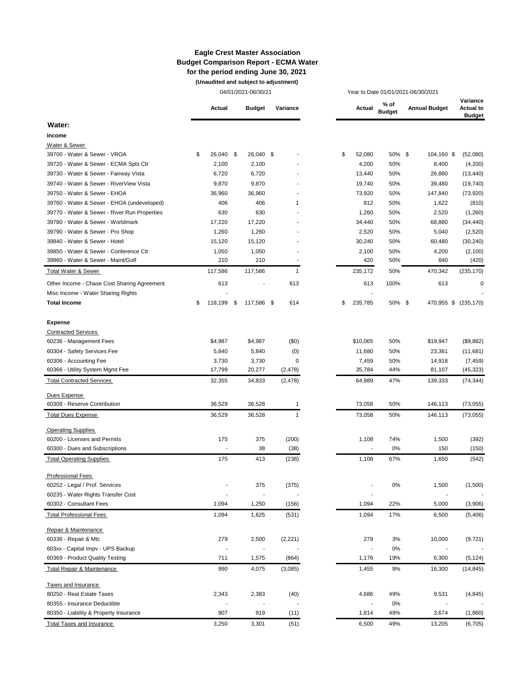#### **Eagle Crest Master Association Budget Comparison Report - ECMA Water for the period ending June 30, 2021 (Unaudited and subject to adjustment)**

04/01/2021-06/30/21 Year to Date 01/01/2021-06/30/2021

|                                                                                   | Actual          |                | <b>Budget</b>            | Variance |                      | Actual                   | % of<br><b>Budget</b> | <b>Annual Budget</b> | Variance<br><b>Actual to</b><br><b>Budget</b> |
|-----------------------------------------------------------------------------------|-----------------|----------------|--------------------------|----------|----------------------|--------------------------|-----------------------|----------------------|-----------------------------------------------|
| Water:                                                                            |                 |                |                          |          |                      |                          |                       |                      |                                               |
| Income                                                                            |                 |                |                          |          |                      |                          |                       |                      |                                               |
| Water & Sewer                                                                     |                 |                |                          |          |                      |                          |                       |                      |                                               |
| 39700 - Water & Sewer - VROA                                                      | 26,040 \$<br>\$ |                | 26,040 \$                |          |                      | \$<br>52,080             | 50% \$                | 104,160 \$           | (52,080)                                      |
| 39720 - Water & Sewer - ECMA Spts Ctr                                             | 2,100           |                | 2,100                    |          |                      | 4,200                    | 50%                   | 8,400                | (4,200)                                       |
| 39730 - Water & Sewer - Fairway Vista                                             | 6,720           |                | 6,720                    |          |                      | 13,440                   | 50%                   | 26,880               | (13, 440)                                     |
| 39740 - Water & Sewer - RiverView Vista                                           | 9,870           |                | 9,870                    |          |                      | 19,740                   | 50%                   | 39,480               | (19, 740)                                     |
| 39750 - Water & Sewer - EHOA                                                      | 36,960          |                | 36,960                   |          |                      | 73,920                   | 50%                   | 147,840              | (73, 920)                                     |
| 39760 - Water & Sewer - EHOA (undeveloped)                                        | 406             |                | 406                      |          | $\mathbf 1$          | 812                      | 50%                   | 1,622                | (810)                                         |
| 39770 - Water & Sewer - River Run Properties                                      | 630             |                | 630                      |          |                      | 1,260                    | 50%                   | 2,520                | (1,260)                                       |
| 39780 - Water & Sewer - Worldmark                                                 | 17,220          |                | 17,220                   |          |                      | 34,440                   | 50%                   | 68,880               | (34, 440)                                     |
| 39790 - Water & Sewer - Pro Shop                                                  | 1,260           |                | 1,260                    |          |                      | 2,520                    | 50%                   | 5,040                | (2,520)                                       |
| 39840 - Water & Sewer - Hotel                                                     | 15,120          |                | 15,120                   |          |                      | 30,240                   | 50%                   | 60,480               | (30, 240)                                     |
| 39850 - Water & Sewer - Conference Ctr                                            | 1,050           |                | 1,050                    |          |                      | 2,100                    | 50%                   | 4,200                | (2,100)                                       |
| 39860 - Water & Sewer - Maint/Golf                                                | 210             |                | 210                      |          |                      | 420                      | 50%                   | 840                  | (420)                                         |
| <b>Total Water &amp; Sewer</b>                                                    | 117,586         |                | 117,586                  |          | $\mathbf{1}$         | 235,172                  | 50%                   | 470,342              | (235, 170)                                    |
|                                                                                   |                 |                |                          |          |                      |                          |                       |                      |                                               |
| Other Income - Chase Cost Sharing Agreement<br>Misc Income - Water Sharing Rights | 613             |                |                          | 613      |                      | 613                      | 100%                  | 613                  | 0                                             |
| <b>Total Income</b>                                                               | 118,199<br>\$   | \$             | 117,586 \$               | 614      |                      | \$<br>235,785            | 50% \$                | 470,955 \$           | (235, 170)                                    |
|                                                                                   |                 |                |                          |          |                      |                          |                       |                      |                                               |
| <b>Expense</b>                                                                    |                 |                |                          |          |                      |                          |                       |                      |                                               |
| <b>Contracted Services</b>                                                        |                 |                |                          |          |                      |                          |                       |                      |                                               |
| 60236 - Management Fees                                                           | \$4,987         |                | \$4,987                  | (50)     |                      | \$10,065                 | 50%                   | \$19,947             | (\$9,882)                                     |
| 60304 - Safety Services Fee                                                       | 5,840           |                | 5,840                    | (0)      |                      | 11,680                   | 50%                   | 23,361               | (11,681)                                      |
| 60306 - Accounting Fee                                                            | 3,730           |                | 3,730                    |          | 0                    | 7,459                    | 50%                   | 14,918               | (7, 459)                                      |
| 60366 - Utility System Mgmt Fee                                                   | 17,799          |                | 20,277                   | (2, 478) |                      | 35,784                   | 44%                   | 81,107               | (45, 323)                                     |
| <b>Total Contracted Services</b>                                                  | 32,355          |                | 34,833                   | (2, 478) |                      | 64,989                   | 47%                   | 139,333              | (74, 344)                                     |
|                                                                                   |                 |                |                          |          |                      |                          |                       |                      |                                               |
| Dues Expense                                                                      |                 |                |                          |          |                      |                          |                       |                      |                                               |
| 60308 - Reserve Contribution                                                      | 36,529          |                | 36,528                   |          | $\mathbf 1$          | 73,058                   | 50%                   | 146,113              | (73,055)                                      |
| <b>Total Dues Expense</b>                                                         | 36,529          |                | 36,528                   |          | $\mathbf{1}$         | 73,058                   | 50%                   | 146,113              | (73, 055)                                     |
| <b>Operating Supplies</b>                                                         |                 |                |                          |          |                      |                          |                       |                      |                                               |
| 60200 - Licenses and Permits                                                      | 175             |                | 375                      | (200)    |                      | 1,108                    | 74%                   | 1,500                | (392)                                         |
| 60300 - Dues and Subscriptions                                                    |                 |                | 38                       | (38)     |                      |                          | 0%                    | 150                  | (150)                                         |
| <b>Total Operating Supplies</b>                                                   | 175             |                | 413                      | (238)    |                      | 1,108                    | 67%                   | 1,650                | (542)                                         |
|                                                                                   |                 |                |                          |          |                      |                          |                       |                      |                                               |
| <b>Professional Fees</b>                                                          |                 |                |                          |          |                      |                          |                       |                      |                                               |
| 60252 - Legal / Prof. Services                                                    |                 |                | 375                      | (375)    |                      |                          | $0\%$                 | 1,500                | (1,500)                                       |
| 60235 - Water Rights Transfer Cost                                                |                 |                |                          |          |                      |                          |                       |                      |                                               |
| 60302 - Consultant Fees                                                           | 1,094           |                | 1,250                    | (156)    |                      | 1,094                    | 22%                   | 5,000                | (3,906)                                       |
| <b>Total Professional Fees</b>                                                    | 1,094           |                | 1,625                    | (531)    |                      | 1,094                    | 17%                   | 6,500                | (5, 406)                                      |
| Repair & Maintenance                                                              |                 |                |                          |          |                      |                          |                       |                      |                                               |
| 60336 - Repair & Mtc                                                              | 279             |                | 2,500                    | (2,221)  |                      | 279                      | 3%                    | 10,000               | (9, 721)                                      |
| 603xx - Capital Impv - UPS Backup                                                 |                 |                | $\overline{\phantom{a}}$ |          |                      | $\overline{\phantom{a}}$ | $0\%$                 |                      |                                               |
| 60369 - Product Quality Testing                                                   | 711             |                | 1,575                    | (864)    |                      | 1,176                    | 19%                   | 6,300                | (5, 124)                                      |
| Total Repair & Maintenance                                                        | 990             |                |                          |          |                      | 1,455                    | 9%                    |                      |                                               |
|                                                                                   |                 |                | 4,075                    | (3,085)  |                      |                          |                       | 16,300               | (14, 845)                                     |
| Taxes and Insurance                                                               |                 |                |                          |          |                      |                          |                       |                      |                                               |
| 80250 - Real Estate Taxes                                                         | 2,343           |                | 2,383                    | (40)     |                      | 4,686                    | 49%                   | 9,531                | (4, 845)                                      |
| 80355 - Insurance Deductible                                                      |                 | $\overline{a}$ | $\overline{\phantom{a}}$ |          | $\ddot{\phantom{a}}$ | $\overline{\phantom{a}}$ | 0%                    |                      |                                               |
| 80350 - Liability & Property Insurance                                            | 907             |                | 919                      | (11)     |                      | 1,814                    | 49%                   | 3,674                | (1,860)                                       |
| <b>Total Taxes and Insurance</b>                                                  | 3,250           |                | 3,301                    | (51)     |                      | 6,500                    | 49%                   | 13,205               | (6, 705)                                      |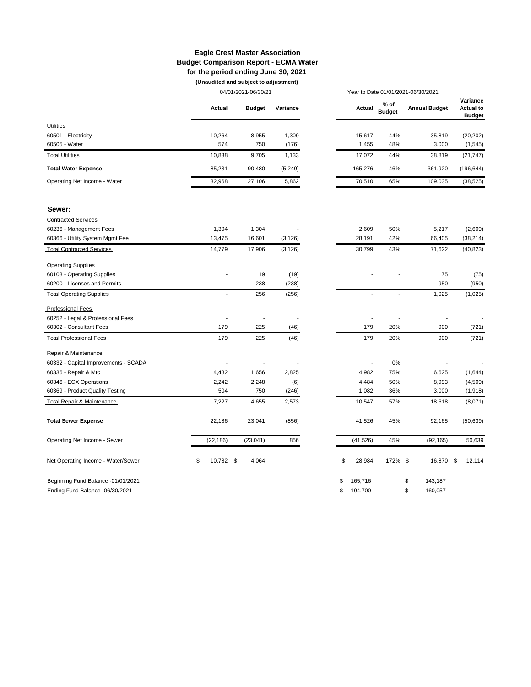#### **Eagle Crest Master Association Budget Comparison Report - ECMA Water for the period ending June 30, 2021 (Unaudited and subject to adjustment)**

04/01/2021-06/30/21 Year to Date 01/01/2021-06/30/2021

|                                       | Actual         | <b>Budget</b> | Variance |    | Actual    | % of<br><b>Budget</b> | <b>Annual Budget</b> | Variance<br><b>Actual to</b><br><b>Budget</b> |
|---------------------------------------|----------------|---------------|----------|----|-----------|-----------------------|----------------------|-----------------------------------------------|
| <b>Utilities</b>                      |                |               |          |    |           |                       |                      |                                               |
| 60501 - Electricity                   | 10,264         | 8,955         | 1,309    |    | 15,617    | 44%                   | 35,819               | (20, 202)                                     |
| 60505 - Water                         | 574            | 750           | (176)    |    | 1,455     | 48%                   | 3,000                | (1, 545)                                      |
| <b>Total Utilities</b>                | 10,838         | 9,705         | 1,133    |    | 17,072    | 44%                   | 38,819               | (21, 747)                                     |
| <b>Total Water Expense</b>            | 85,231         | 90,480        | (5, 249) |    | 165,276   | 46%                   | 361,920              | (196, 644)                                    |
| Operating Net Income - Water          | 32,968         | 27,106        | 5,862    |    | 70,510    | 65%                   | 109,035              | (38, 525)                                     |
| Sewer:                                |                |               |          |    |           |                       |                      |                                               |
| <b>Contracted Services</b>            |                |               |          |    |           |                       |                      |                                               |
| 60236 - Management Fees               | 1,304          | 1,304         |          |    | 2,609     | 50%                   | 5,217                | (2,609)                                       |
| 60366 - Utility System Mgmt Fee       | 13,475         | 16,601        | (3, 126) |    | 28,191    | 42%                   | 66,405               | (38, 214)                                     |
| <b>Total Contracted Services</b>      | 14,779         | 17,906        | (3, 126) |    | 30,799    | 43%                   | 71,622               | (40, 823)                                     |
| <b>Operating Supplies</b>             |                |               |          |    |           |                       |                      |                                               |
| 60103 - Operating Supplies            |                | 19            | (19)     |    |           |                       | 75                   | (75)                                          |
| 60200 - Licenses and Permits          |                | 238           | (238)    |    |           |                       | 950                  | (950)                                         |
| <b>Total Operating Supplies</b>       |                | 256           | (256)    |    |           |                       | 1,025                | (1,025)                                       |
| <b>Professional Fees</b>              |                |               |          |    |           |                       |                      |                                               |
| 60252 - Legal & Professional Fees     |                |               |          |    |           |                       |                      |                                               |
| 60302 - Consultant Fees               | 179            | 225           | (46)     |    | 179       | 20%                   | 900                  | (721)                                         |
| <b>Total Professional Fees</b>        | 179            | 225           | (46)     |    | 179       | 20%                   | 900                  | (721)                                         |
| Repair & Maintenance                  |                |               |          |    |           |                       |                      |                                               |
| 60332 - Capital Improvements - SCADA  |                |               |          |    |           | 0%                    |                      |                                               |
| 60336 - Repair & Mtc                  | 4,482          | 1,656         | 2,825    |    | 4,982     | 75%                   | 6,625                | (1,644)                                       |
| 60346 - ECX Operations                | 2,242          | 2,248         | (6)      |    | 4,484     | 50%                   | 8,993                | (4, 509)                                      |
| 60369 - Product Quality Testing       | 504            | 750           | (246)    |    | 1,082     | 36%                   | 3,000                | (1, 918)                                      |
| <b>Total Repair &amp; Maintenance</b> | 7,227          | 4,655         | 2,573    |    | 10,547    | 57%                   | 18,618               | (8,071)                                       |
| <b>Total Sewer Expense</b>            | 22,186         | 23,041        | (856)    |    | 41,526    | 45%                   | 92,165               | (50, 639)                                     |
| Operating Net Income - Sewer          | (22, 186)      | (23, 041)     | 856      |    | (41, 526) | 45%                   | (92, 165)            | 50,639                                        |
| Net Operating Income - Water/Sewer    | 10,782 \$<br>S | 4,064         |          | \$ | 28,984    | 172% \$               | 16,870               | - \$<br>12,114                                |
| Beginning Fund Balance -01/01/2021    |                |               |          | S  | 165,716   |                       | \$<br>143,187        |                                               |
| Ending Fund Balance -06/30/2021       |                |               |          | \$ | 194,700   |                       | \$<br>160,057        |                                               |